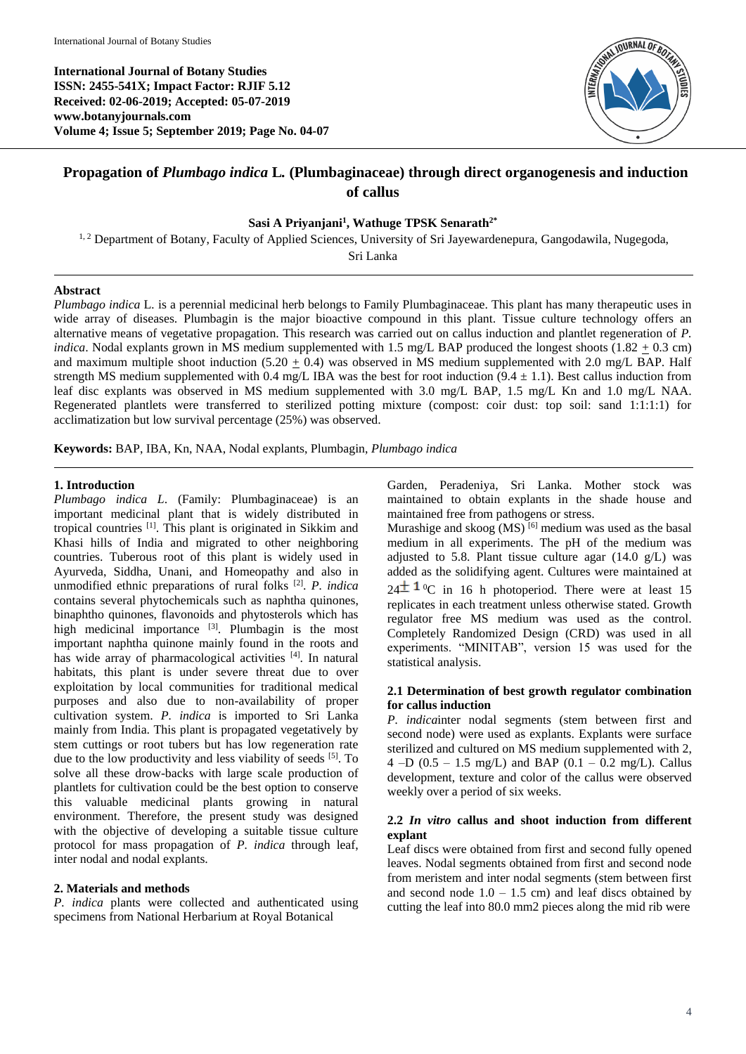**International Journal of Botany Studies ISSN: 2455-541X; Impact Factor: RJIF 5.12 Received: 02-06-2019; Accepted: 05-07-2019 www.botanyjournals.com Volume 4; Issue 5; September 2019; Page No. 04-07**



# **Propagation of** *Plumbago indica* **L***.* **(Plumbaginaceae) through direct organogenesis and induction of callus**

### **Sasi A Priyanjani<sup>1</sup> , Wathuge TPSK Senarath2\***

<sup>1, 2</sup> Department of Botany, Faculty of Applied Sciences, University of Sri Jayewardenepura, Gangodawila, Nugegoda,

Sri Lanka

# **Abstract**

*Plumbago indica* L*.* is a perennial medicinal herb belongs to Family Plumbaginaceae. This plant has many therapeutic uses in wide array of diseases. Plumbagin is the major bioactive compound in this plant. Tissue culture technology offers an alternative means of vegetative propagation. This research was carried out on callus induction and plantlet regeneration of *P. indica*. Nodal explants grown in MS medium supplemented with 1.5 mg/L BAP produced the longest shoots  $(1.82 + 0.3 \text{ cm})$ and maximum multiple shoot induction  $(5.20 + 0.4)$  was observed in MS medium supplemented with 2.0 mg/L BAP. Half strength MS medium supplemented with 0.4 mg/L IBA was the best for root induction  $(9.4 \pm 1.1)$ . Best callus induction from leaf disc explants was observed in MS medium supplemented with 3.0 mg/L BAP, 1.5 mg/L Kn and 1.0 mg/L NAA. Regenerated plantlets were transferred to sterilized potting mixture (compost: coir dust: top soil: sand 1:1:1:1) for acclimatization but low survival percentage (25%) was observed.

**Keywords:** BAP, IBA, Kn, NAA, Nodal explants, Plumbagin, *Plumbago indica*

# **1. Introduction**

*Plumbago indica L*. (Family: Plumbaginaceae) is an important medicinal plant that is widely distributed in tropical countries [1]. This plant is originated in Sikkim and Khasi hills of India and migrated to other neighboring countries. Tuberous root of this plant is widely used in Ayurveda, Siddha, Unani, and Homeopathy and also in unmodified ethnic preparations of rural folks [2] . *P. indica* contains several phytochemicals such as naphtha quinones, binaphtho quinones, flavonoids and phytosterols which has high medicinal importance  $[3]$ . Plumbagin is the most important naphtha quinone mainly found in the roots and has wide array of pharmacological activities [4]. In natural habitats, this plant is under severe threat due to over exploitation by local communities for traditional medical purposes and also due to non-availability of proper cultivation system. *P. indica* is imported to Sri Lanka mainly from India. This plant is propagated vegetatively by stem cuttings or root tubers but has low regeneration rate due to the low productivity and less viability of seeds  $[5]$ . To solve all these drow-backs with large scale production of plantlets for cultivation could be the best option to conserve this valuable medicinal plants growing in natural environment. Therefore, the present study was designed with the objective of developing a suitable tissue culture protocol for mass propagation of *P. indica* through leaf, inter nodal and nodal explants.

# **2. Materials and methods**

*P. indica* plants were collected and authenticated using specimens from National Herbarium at Royal Botanical

Garden, Peradeniya, Sri Lanka. Mother stock was maintained to obtain explants in the shade house and maintained free from pathogens or stress.

Murashige and skoog  $(MS)$ <sup>[6]</sup> medium was used as the basal medium in all experiments. The pH of the medium was adjusted to 5.8. Plant tissue culture agar  $(14.0 \text{ g/L})$  was added as the solidifying agent. Cultures were maintained at  $24^{\pm}$  1<sup>o</sup>C in 16 h photoperiod. There were at least 15 replicates in each treatment unless otherwise stated. Growth regulator free MS medium was used as the control. Completely Randomized Design (CRD) was used in all experiments. "MINITAB", version 15 was used for the statistical analysis.

### **2.1 Determination of best growth regulator combination for callus induction**

*P. indica*inter nodal segments (stem between first and second node) were used as explants. Explants were surface sterilized and cultured on MS medium supplemented with 2, 4 –D  $(0.5 - 1.5 \text{ mg/L})$  and BAP  $(0.1 - 0.2 \text{ mg/L})$ . Callus development, texture and color of the callus were observed weekly over a period of six weeks.

# **2.2** *In vitro* **callus and shoot induction from different explant**

Leaf discs were obtained from first and second fully opened leaves. Nodal segments obtained from first and second node from meristem and inter nodal segments (stem between first and second node  $1.0 - 1.5$  cm) and leaf discs obtained by cutting the leaf into 80.0 mm2 pieces along the mid rib were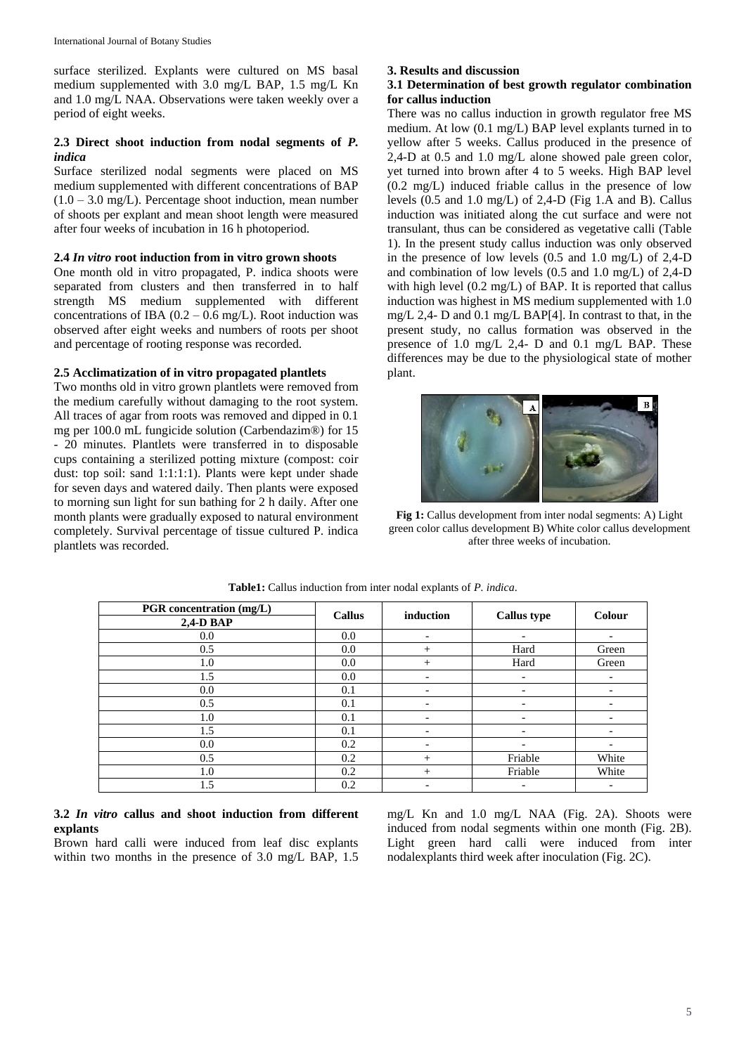surface sterilized. Explants were cultured on MS basal medium supplemented with 3.0 mg/L BAP, 1.5 mg/L Kn and 1.0 mg/L NAA. Observations were taken weekly over a period of eight weeks.

# **2.3 Direct shoot induction from nodal segments of** *P. indica*

Surface sterilized nodal segments were placed on MS medium supplemented with different concentrations of BAP  $(1.0 - 3.0 \text{ mg/L})$ . Percentage shoot induction, mean number of shoots per explant and mean shoot length were measured after four weeks of incubation in 16 h photoperiod.

### **2.4** *In vitro* **root induction from in vitro grown shoots**

One month old in vitro propagated, P. indica shoots were separated from clusters and then transferred in to half strength MS medium supplemented with different concentrations of IBA  $(0.2 - 0.6 \text{ mg/L})$ . Root induction was observed after eight weeks and numbers of roots per shoot and percentage of rooting response was recorded.

#### **2.5 Acclimatization of in vitro propagated plantlets**

Two months old in vitro grown plantlets were removed from the medium carefully without damaging to the root system. All traces of agar from roots was removed and dipped in 0.1 mg per 100.0 mL fungicide solution (Carbendazim®) for 15 - 20 minutes. Plantlets were transferred in to disposable cups containing a sterilized potting mixture (compost: coir dust: top soil: sand 1:1:1:1). Plants were kept under shade for seven days and watered daily. Then plants were exposed to morning sun light for sun bathing for 2 h daily. After one month plants were gradually exposed to natural environment completely. Survival percentage of tissue cultured P. indica plantlets was recorded.

#### **3. Results and discussion**

### **3.1 Determination of best growth regulator combination for callus induction**

There was no callus induction in growth regulator free MS medium. At low (0.1 mg/L) BAP level explants turned in to yellow after 5 weeks. Callus produced in the presence of 2,4-D at 0.5 and 1.0 mg/L alone showed pale green color, yet turned into brown after 4 to 5 weeks. High BAP level (0.2 mg/L) induced friable callus in the presence of low levels (0.5 and 1.0 mg/L) of 2,4-D (Fig 1.A and B). Callus induction was initiated along the cut surface and were not transulant, thus can be considered as vegetative calli (Table 1). In the present study callus induction was only observed in the presence of low levels (0.5 and 1.0 mg/L) of 2,4-D and combination of low levels (0.5 and 1.0 mg/L) of 2,4-D with high level (0.2 mg/L) of BAP. It is reported that callus induction was highest in MS medium supplemented with 1.0 mg/L 2,4- D and 0.1 mg/L BAP[4]. In contrast to that, in the present study, no callus formation was observed in the presence of 1.0 mg/L 2,4- D and 0.1 mg/L BAP. These differences may be due to the physiological state of mother plant.



**Fig 1:** Callus development from inter nodal segments: A) Light green color callus development B) White color callus development after three weeks of incubation.

| <b>PGR</b> concentration (mg/L) | <b>Callus</b> | induction | <b>Callus type</b> | Colour |
|---------------------------------|---------------|-----------|--------------------|--------|
| $2,4$ -D BAP                    |               |           |                    |        |
| 0.0                             | 0.0           |           |                    |        |
| 0.5                             | 0.0           | $^{+}$    | Hard               | Green  |
| 1.0                             | 0.0           | $^{+}$    | Hard               | Green  |
| 1.5                             | 0.0           | ۰         | -                  |        |
| 0.0                             | 0.1           |           |                    |        |
| 0.5                             | 0.1           |           |                    |        |
| 1.0                             | 0.1           |           |                    |        |
| 1.5                             | 0.1           |           |                    |        |
| 0.0                             | 0.2           |           |                    |        |
| 0.5                             | 0.2           | $^{+}$    | Friable            | White  |
| 1.0                             | 0.2           | $^{+}$    | Friable            | White  |
| 1.5                             | 0.2           |           |                    |        |

#### **Table1:** Callus induction from inter nodal explants of *P. indica*.

# **3.2** *In vitro* **callus and shoot induction from different explants**

Brown hard calli were induced from leaf disc explants within two months in the presence of 3.0 mg/L BAP, 1.5

mg/L Kn and 1.0 mg/L NAA (Fig. 2A). Shoots were induced from nodal segments within one month (Fig. 2B). Light green hard calli were induced from inter nodalexplants third week after inoculation (Fig. 2C).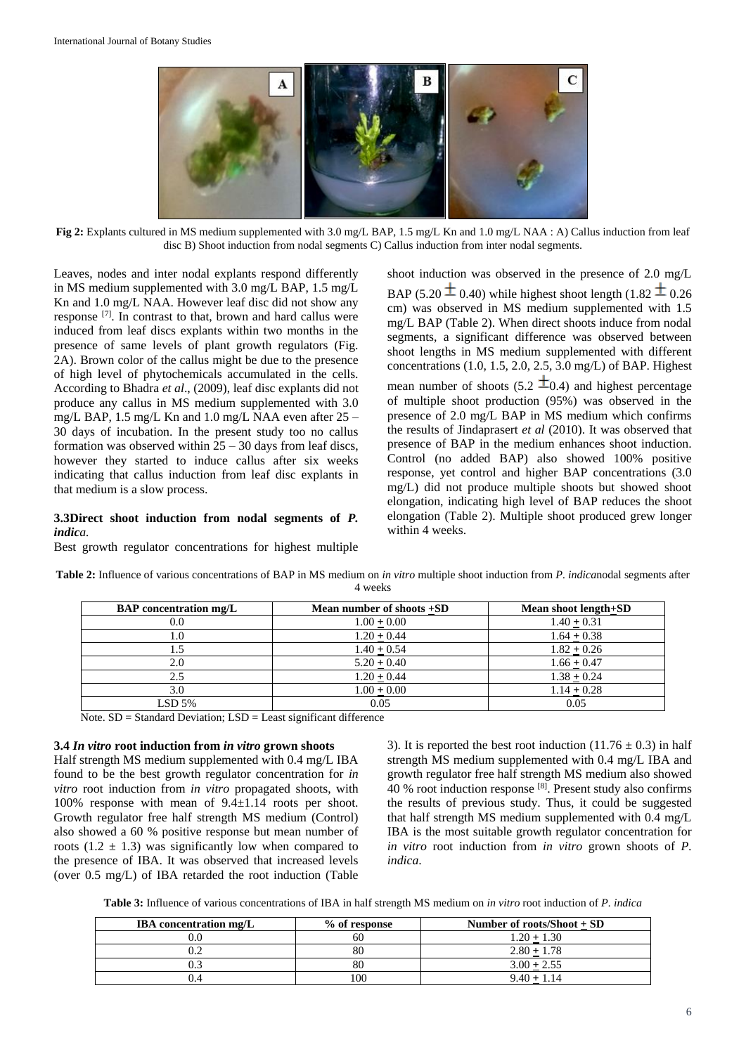

**Fig 2:** Explants cultured in MS medium supplemented with 3.0 mg/L BAP, 1.5 mg/L Kn and 1.0 mg/L NAA : A) Callus induction from leaf disc B) Shoot induction from nodal segments C) Callus induction from inter nodal segments.

Leaves, nodes and inter nodal explants respond differently in MS medium supplemented with 3.0 mg/L BAP, 1.5 mg/L Kn and 1.0 mg/L NAA. However leaf disc did not show any response [7]. In contrast to that, brown and hard callus were induced from leaf discs explants within two months in the presence of same levels of plant growth regulators (Fig. 2A). Brown color of the callus might be due to the presence of high level of phytochemicals accumulated in the cells. According to Bhadra *et al*., (2009), leaf disc explants did not produce any callus in MS medium supplemented with 3.0 mg/L BAP, 1.5 mg/L Kn and 1.0 mg/L NAA even after 25 – 30 days of incubation. In the present study too no callus formation was observed within  $25 - 30$  days from leaf discs, however they started to induce callus after six weeks indicating that callus induction from leaf disc explants in that medium is a slow process.

### **3.3Direct shoot induction from nodal segments of** *P. indica.*

Best growth regulator concentrations for highest multiple

shoot induction was observed in the presence of 2.0 mg/L BAP (5.20  $\pm$  0.40) while highest shoot length (1.82  $\pm$  0.26 cm) was observed in MS medium supplemented with 1.5 mg/L BAP (Table 2). When direct shoots induce from nodal segments, a significant difference was observed between shoot lengths in MS medium supplemented with different concentrations (1.0, 1.5, 2.0, 2.5, 3.0 mg/L) of BAP. Highest mean number of shoots (5.2  $\pm$ 0.4) and highest percentage of multiple shoot production (95%) was observed in the presence of 2.0 mg/L BAP in MS medium which confirms the results of Jindaprasert *et al* (2010). It was observed that presence of BAP in the medium enhances shoot induction. Control (no added BAP) also showed 100% positive response, yet control and higher BAP concentrations (3.0 mg/L) did not produce multiple shoots but showed shoot elongation, indicating high level of BAP reduces the shoot elongation (Table 2). Multiple shoot produced grew longer within 4 weeks.

| <b>BAP</b> concentration mg/L | Mean number of shoots +SD | Mean shoot length+SD |  |
|-------------------------------|---------------------------|----------------------|--|
| 0.0                           | $1.00 + 0.00$             | $1.40 + 0.31$        |  |
|                               | $1.20 + 0.44$             | $1.64 + 0.38$        |  |
|                               | $1.40 + 0.54$             | $1.82 + 0.26$        |  |
|                               | $5.20 + 0.40$             | $1.66 + 0.47$        |  |
|                               | $1.20 + 0.44$             | $1.38 + 0.24$        |  |
|                               | $1.00 + 0.00$             | $1.14 + 0.28$        |  |

 $LSD 5\%$  0.05 0.05 0.05 0.05

**Table 2:** Influence of various concentrations of BAP in MS medium on *in vitro* multiple shoot induction from *P. indica*nodal segments after 4 weeks

Note. SD = Standard Deviation; LSD = Least significant difference

### **3.4** *In vitro* **root induction from** *in vitro* **grown shoots**

Half strength MS medium supplemented with 0.4 mg/L IBA found to be the best growth regulator concentration for *in vitro* root induction from *in vitro* propagated shoots, with 100% response with mean of 9.4±1.14 roots per shoot. Growth regulator free half strength MS medium (Control) also showed a 60 % positive response but mean number of roots  $(1.2 \pm 1.3)$  was significantly low when compared to the presence of IBA. It was observed that increased levels (over 0.5 mg/L) of IBA retarded the root induction (Table 3). It is reported the best root induction  $(11.76 \pm 0.3)$  in half strength MS medium supplemented with 0.4 mg/L IBA and growth regulator free half strength MS medium also showed 40 % root induction response [8]. Present study also confirms the results of previous study. Thus, it could be suggested that half strength MS medium supplemented with 0.4 mg/L IBA is the most suitable growth regulator concentration for *in vitro* root induction from *in vitro* grown shoots of *P. indica*.

**Table 3:** Influence of various concentrations of IBA in half strength MS medium on *in vitro* root induction of *P. indica*

| <b>IBA</b> concentration mg/L | % of response | Number of roots/Shoot $+$ SD |
|-------------------------------|---------------|------------------------------|
|                               | 60            | $1.20 + 1.30$                |
|                               | 80            | $2.80 + 1.78$                |
|                               | 80            | $3.00 + 2.55$                |
|                               | 100           | $9.40 + 1.14$                |